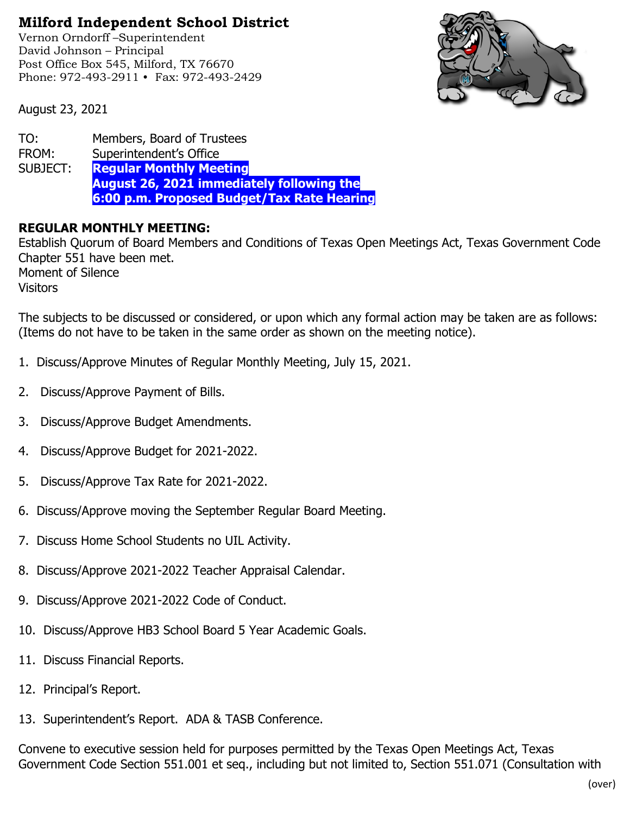## **Milford Independent School District**

Vernon Orndorff –Superintendent David Johnson – Principal Post Office Box 545, Milford, TX 76670 Phone: 972-493-2911 • Fax: 972-493-2429



August 23, 2021

TO: Members, Board of Trustees FROM: Superintendent's Office SUBJECT: **Regular Monthly Meeting August 26, 2021 immediately following the 6:00 p.m. Proposed Budget/Tax Rate Hearing**

## **REGULAR MONTHLY MEETING:**

Establish Quorum of Board Members and Conditions of Texas Open Meetings Act, Texas Government Code Chapter 551 have been met. Moment of Silence **Visitors** 

The subjects to be discussed or considered, or upon which any formal action may be taken are as follows: (Items do not have to be taken in the same order as shown on the meeting notice).

- 1. Discuss/Approve Minutes of Regular Monthly Meeting, July 15, 2021.
- 2. Discuss/Approve Payment of Bills.
- 3. Discuss/Approve Budget Amendments.
- 4. Discuss/Approve Budget for 2021-2022.
- 5. Discuss/Approve Tax Rate for 2021-2022.
- 6. Discuss/Approve moving the September Regular Board Meeting.
- 7. Discuss Home School Students no UIL Activity.
- 8. Discuss/Approve 2021-2022 Teacher Appraisal Calendar.
- 9. Discuss/Approve 2021-2022 Code of Conduct.
- 10. Discuss/Approve HB3 School Board 5 Year Academic Goals.
- 11. Discuss Financial Reports.
- 12. Principal's Report.
- 13. Superintendent's Report. ADA & TASB Conference.

Convene to executive session held for purposes permitted by the Texas Open Meetings Act, Texas Government Code Section 551.001 et seq., including but not limited to, Section 551.071 (Consultation with